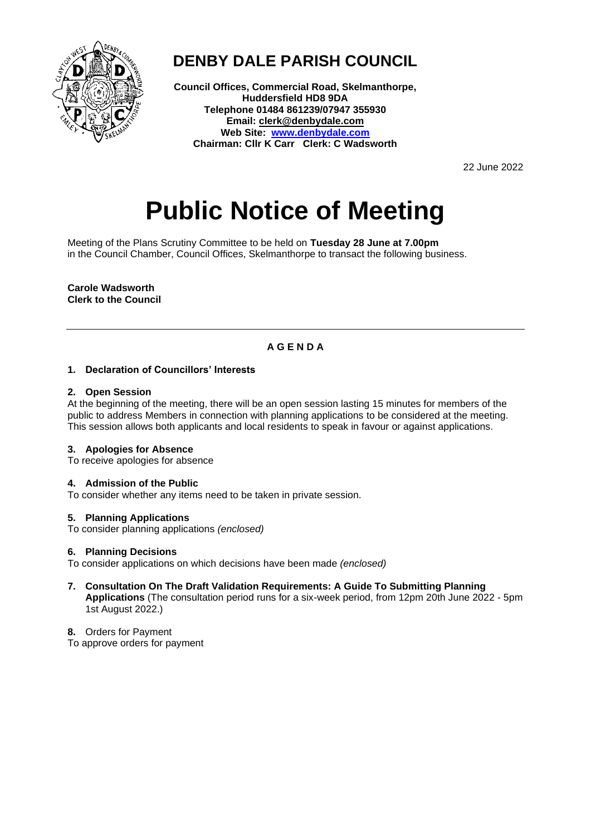

## **DENBY DALE PARISH COUNCIL**

**Council Offices, Commercial Road, Skelmanthorpe, Huddersfield HD8 9DA Telephone 01484 861239/07947 355930 Email: clerk@denbydale.com Web Site: [www.denbydale.com](http://www.denbydale.com/) Chairman: Cllr K Carr Clerk: C Wadsworth**

22 June 2022

# **Public Notice of Meeting**

Meeting of the Plans Scrutiny Committee to be held on **Tuesday 28 June at 7.00pm** in the Council Chamber, Council Offices, Skelmanthorpe to transact the following business.

**Carole Wadsworth Clerk to the Council**

### **A G E N D A**

#### **1. Declaration of Councillors' Interests**

#### **2. Open Session**

At the beginning of the meeting, there will be an open session lasting 15 minutes for members of the public to address Members in connection with planning applications to be considered at the meeting. This session allows both applicants and local residents to speak in favour or against applications.

#### **3. Apologies for Absence**

To receive apologies for absence

#### **4. Admission of the Public**

To consider whether any items need to be taken in private session.

#### **5. Planning Applications**

To consider planning applications *(enclosed)*

#### **6. Planning Decisions**

To consider applications on which decisions have been made *(enclosed)*

**7. Consultation On The Draft Validation Requirements: A Guide To Submitting Planning Applications** (The consultation period runs for a six-week period, from 12pm 20th June 2022 - 5pm 1st August 2022.)

**8.** Orders for Payment

To approve orders for payment